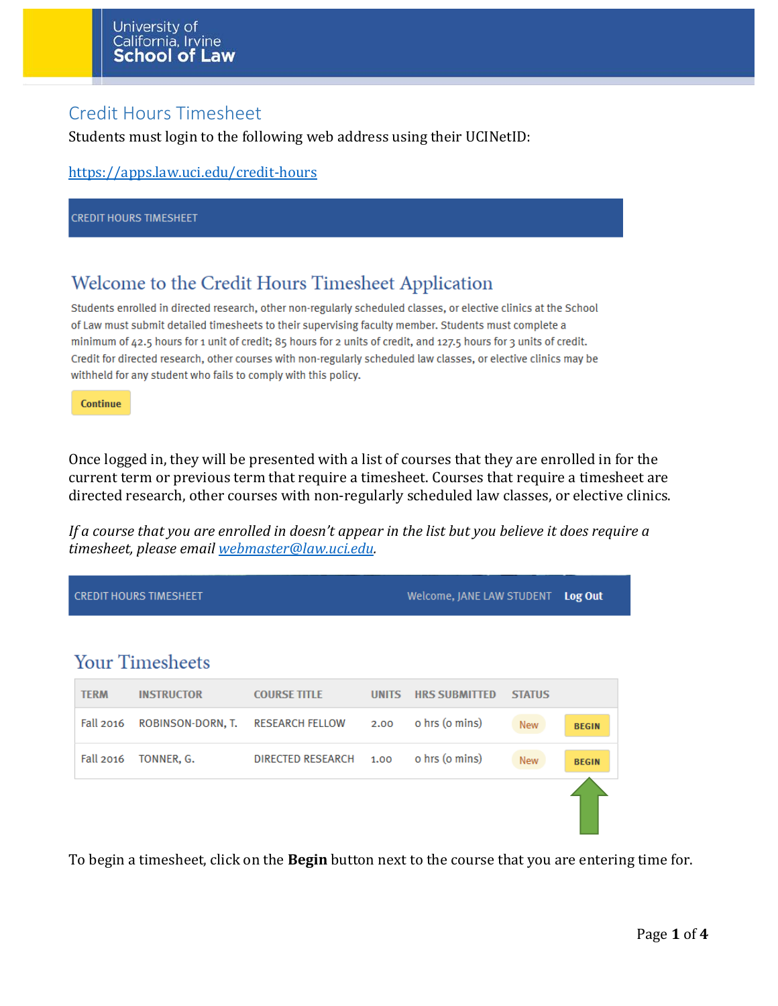### Credit Hours Timesheet

Students must login to the following web address using their UCINetID:

```
https://apps.law.uci.edu/credit-hours
```
**CREDIT HOURS TIMESHEET** 

### Welcome to the Credit Hours Timesheet Application

Students enrolled in directed research, other non-regularly scheduled classes, or elective clinics at the School of Law must submit detailed timesheets to their supervising faculty member. Students must complete a minimum of 42.5 hours for 1 unit of credit; 85 hours for 2 units of credit, and 127.5 hours for 3 units of credit. Credit for directed research, other courses with non-regularly scheduled law classes, or elective clinics may be withheld for any student who fails to comply with this policy.

Continue

Once logged in, they will be presented with a list of courses that they are enrolled in for the current term or previous term that require a timesheet. Courses that require a timesheet are directed research, other courses with non-regularly scheduled law classes, or elective clinics.

*If a course that you are enrolled in doesn't appear in the list but you believe it does require a timesheet, please email [webmaster@law.uci.edu.](mailto:webmaster@law.uci.edu)*

|                  | <b>CREDIT HOURS TIMESHEET</b> | Welcome, JANE LAW STUDENT |              | Log Out              |               |              |
|------------------|-------------------------------|---------------------------|--------------|----------------------|---------------|--------------|
|                  |                               |                           |              |                      |               |              |
|                  | <b>Your Timesheets</b>        |                           |              |                      |               |              |
| <b>TERM</b>      | <b>INSTRUCTOR</b>             | <b>COURSE TITLE</b>       | <b>UNITS</b> | <b>HRS SUBMITTED</b> | <b>STATUS</b> |              |
| <b>Fall 2016</b> | ROBINSON-DORN, T.             | <b>RESEARCH FELLOW</b>    | 2.00         | o hrs (o mins)       | <b>New</b>    | <b>BEGIN</b> |
| <b>Fall 2016</b> | TONNER, G.                    | DIRECTED RESEARCH         | 1.00         | o hrs (o mins)       | <b>New</b>    | <b>BEGIN</b> |
|                  |                               |                           |              |                      |               |              |

To begin a timesheet, click on the **Begin** button next to the course that you are entering time for.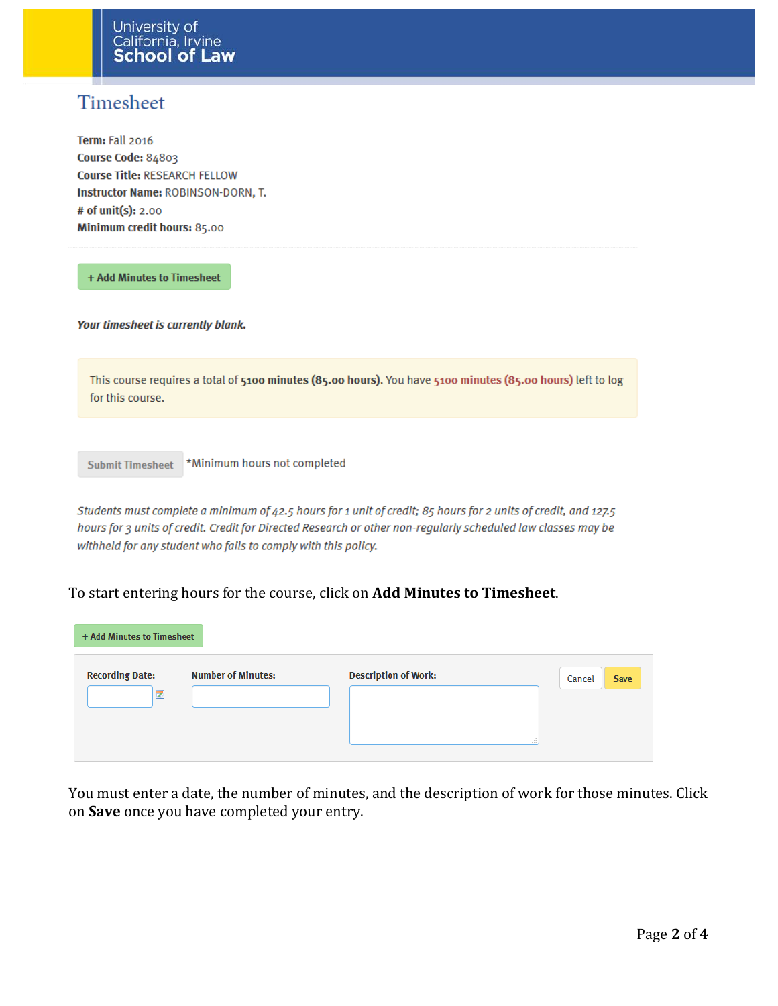## Timesheet

Term: Fall 2016 Course Code: 84803 Course Title: RESEARCH FELLOW **Instructor Name: ROBINSON-DORN, T.** # of unit(s): 2.00 Minimum credit hours: 85.00

+ Add Minutes to Timesheet

Your timesheet is currently blank.

This course requires a total of 5100 minutes (85.00 hours). You have 5100 minutes (85.00 hours) left to log for this course.

\*Minimum hours not completed **Submit Timesheet** 

Students must complete a minimum of 42.5 hours for 1 unit of credit; 85 hours for 2 units of credit, and 127.5 hours for 3 units of credit. Credit for Directed Research or other non-regularly scheduled law classes may be withheld for any student who fails to comply with this policy.

#### To start entering hours for the course, click on **Add Minutes to Timesheet**.

| + Add Minutes to Timesheet  |                           |                             |               |             |  |  |  |  |
|-----------------------------|---------------------------|-----------------------------|---------------|-------------|--|--|--|--|
| <b>Recording Date:</b><br>展 | <b>Number of Minutes:</b> | <b>Description of Work:</b> | Cancel<br>al. | <b>Save</b> |  |  |  |  |

You must enter a date, the number of minutes, and the description of work for those minutes. Click on **Save** once you have completed your entry.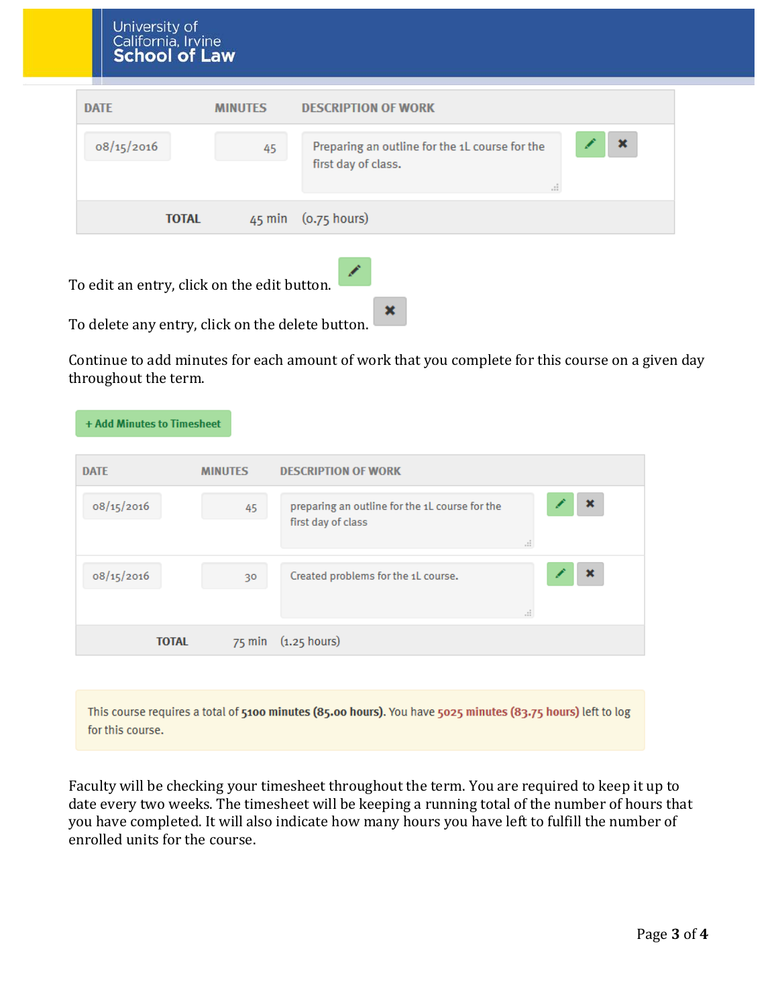| <b>DATE</b>  | <b>MINUTES</b> | <b>DESCRIPTION OF WORK</b>                                                                  |
|--------------|----------------|---------------------------------------------------------------------------------------------|
| 08/15/2016   | 45             | $\mathbf x$<br>Preparing an outline for the 1L course for the<br>first day of class.<br>al. |
| <b>TOTAL</b> |                | 45 min (0.75 hours)                                                                         |

To edit an entry, click on the edit button.



To delete any entry, click on the delete button.

Continue to add minutes for each amount of work that you complete for this course on a given day throughout the term.

| + Add Minutes to Timesheet |                |                                                                      |         |                |
|----------------------------|----------------|----------------------------------------------------------------------|---------|----------------|
| <b>DATE</b>                | <b>MINUTES</b> | <b>DESCRIPTION OF WORK</b>                                           |         |                |
| 08/15/2016                 | 45             | preparing an outline for the 1L course for the<br>first day of class | $\cdot$ | $\pmb{\times}$ |
| 08/15/2016                 | 30             | Created problems for the 1L course.                                  | ÷.      | ×              |
| <b>TOTAL</b>               |                | 75 min (1.25 hours)                                                  |         |                |

This course requires a total of 5100 minutes (85.00 hours). You have 5025 minutes (83.75 hours) left to log for this course.

Faculty will be checking your timesheet throughout the term. You are required to keep it up to date every two weeks. The timesheet will be keeping a running total of the number of hours that you have completed. It will also indicate how many hours you have left to fulfill the number of enrolled units for the course.